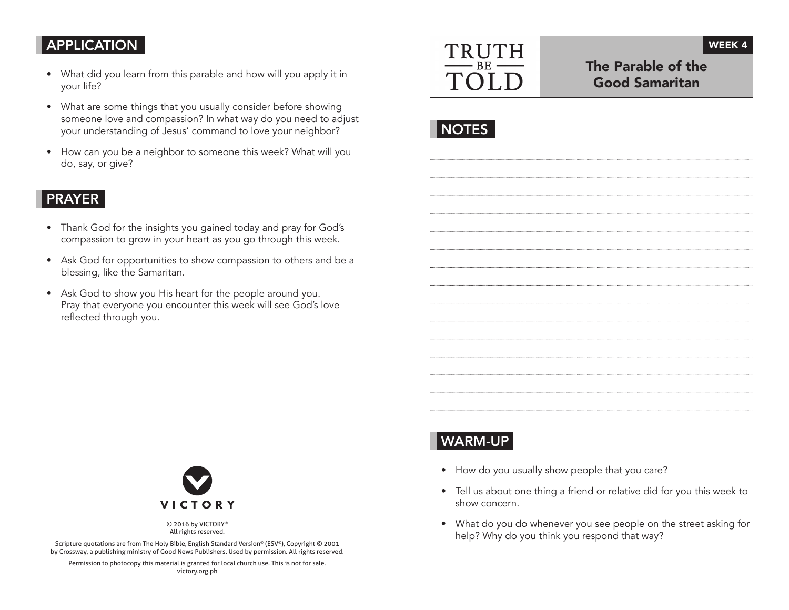## APPLICATION

- What did you learn from this parable and how will you apply it in your life?
- What are some things that you usually consider before showing someone love and compassion? In what way do you need to adjust your understanding of Jesus' command to love your neighbor?
- How can you be a neighbor to someone this week? What will you do, say, or give?

## PRAYER

- Thank God for the insights you gained today and pray for God's compassion to grow in your heart as you go through this week.
- Ask God for opportunities to show compassion to others and be a blessing, like the Samaritan.
- Ask God to show you His heart for the people around you. Pray that everyone you encounter this week will see God's love reflected through you.



## The Parable of the Good Samaritan

WEEK 4

# WARM-UP

- How do you usually show people that you care?
- Tell us about one thing a friend or relative did for you this week to show concern.
- What do you do whenever you see people on the street asking for help? Why do you think you respond that way?



© 2016 by VICTORY® All rights reserved.

Scripture quotations are from The Holy Bible, English Standard Version® (ESV®), Copyright © 2001 by Crossway, a publishing ministry of Good News Publishers. Used by permission. All rights reserved.

Permission to photocopy this material is granted for local church use. This is not for sale. victory.org.ph